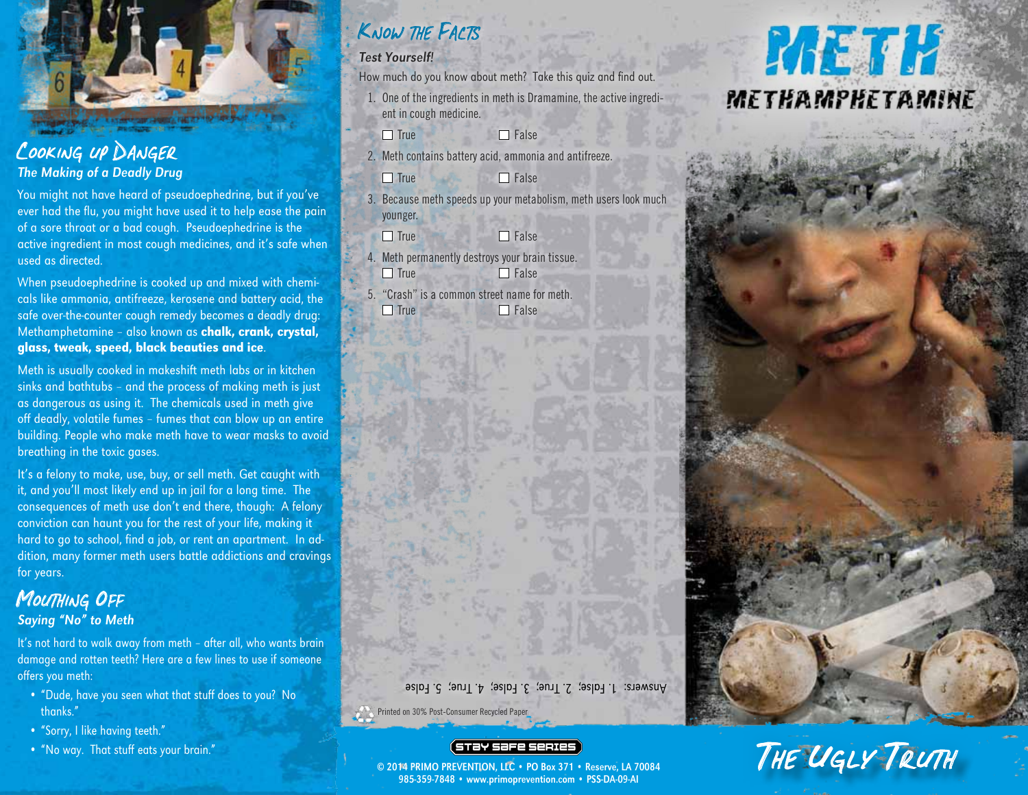

Cooking up Danger

The Making of a Deadly Drug

You might not have heard of pseudoephedrine, but if you've ever had the flu, you might have used it to help ease the pain of a sore throat or a bad cough. Pseudoephedrine is the active ingredient in most cough medicines, and it's safe when used as directed.

When pseudoephedrine is cooked up and mixed with chemicals like ammonia, antifreeze, kerosene and battery acid, the safe over-the-counter cough remedy becomes a deadly drug: Methamphetamine - also known as chalk, crank, crystal, glass, tweak, speed, black beauties and ice.

Meth is usually cooked in makeshift meth labs or in kitchen sinks and bathtubs – and the process of making meth is just as dangerous as using it. The chemicals used in meth give off deadly, volatile fumes – fumes that can blow up an entire building. People who make meth have to wear masks to avoid breathing in the toxic gases.

It's a felony to make, use, buy, or sell meth. Get caught with it, and you'll most likely end up in jail for a long time. The consequences of meth use don't end there, though: A felony conviction can haunt you for the rest of your life, making it hard to go to school, find a job, or rent an apartment. In addition, many former meth users battle addictions and cravings for years.

#### MOUTHING OFF Saying "No" to Meth

It's not hard to walk away from meth - after all, who wants brain damage and rotten teeth? Here are a few lines to use if someone offers you meth:

- "Dude, have you seen what that stuff does to you? No thanks."
- "Sorry, I like having teeth."
- "No way. That stuff eats your brain."

### Know the Facts

#### Test Yourself!

How much do you know about meth? Take this quiz and find out.

- 1. One of the ingredients in meth is Dramamine, the active ingredient in cough medicine.
	- $\Box$  True  $\Box$  False
- 2. Meth contains battery acid, ammonia and antifreeze.

 $\Box$  True  $\Box$  False

- 3. Because meth speeds up your metabolism, meth users look much younger.
- $\Box$  True  $\Box$  False
- 4. Meth permanently destroys your brain tissue.  $\Box$  True  $\Box$  False
- 5. "Crash" is a common street name for meth.  $\Box$  True  $\Box$  False

# **RAETH** METHAMPHETAMINE

Answers: 1. False; 2. True; 3. False; 4. True; 5. False

Printed on 30% Post-Consumer Recycled Paper

#### (STƏY SƏFE SERIES

© 2014 PRIMO PREVENTION, LLC • PO Box 371 • Reserve, LA 70084 985-359-7848 • www.primoprevention.com • PSS-DA-09-AI

# THE UGLY TRUTH